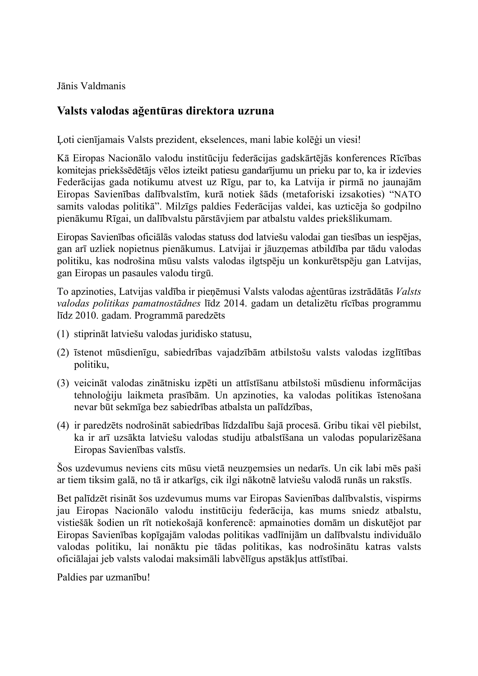Jānis Valdmanis

## **Valsts valodas ağentūras direktora uzruna**

Ļoti cienījamais Valsts prezident, ekselences, mani labie kolēģi un viesi!

Kā Eiropas Nacionālo valodu institūciju federācijas gadskārtējās konferences Rīcības komitejas priekšsēdētājs vēlos izteikt patiesu gandarījumu un prieku par to, ka ir izdevies Federācijas gada notikumu atvest uz Rīgu, par to, ka Latvija ir pirmā no jaunajām Eiropas Savienības dalībvalstīm, kurā notiek šāds (metaforiski izsakoties) "NATO samits valodas politikā". Milzīgs paldies Federācijas valdei, kas uzticēja šo godpilno pienākumu Rīgai, un dalībvalstu pārstāvjiem par atbalstu valdes priekšlikumam.

Eiropas Savienības oficiālās valodas statuss dod latviešu valodai gan tiesības un iespējas, gan arī uzliek nopietnus pienākumus. Latvijai ir jāuzņemas atbildība par tādu valodas politiku, kas nodrošina mūsu valsts valodas ilgtspēju un konkurētspēju gan Latvijas, gan Eiropas un pasaules valodu tirgū.

To apzinoties, Latvijas valdība ir pieņēmusi Valsts valodas aģentūras izstrādātās *Valsts valodas politikas pamatnostādnes* līdz 2014. gadam un detalizētu rīcības programmu līdz 2010. gadam. Programmā paredzēts

- (1) stiprināt latviešu valodas juridisko statusu,
- (2) īstenot mūsdienīgu, sabiedrības vajadzībām atbilstošu valsts valodas izglītības politiku,
- (3) veicināt valodas zinātnisku izpēti un attīstīšanu atbilstoši mūsdienu informācijas tehnoloģiju laikmeta prasībām. Un apzinoties, ka valodas politikas īstenošana nevar būt sekmīga bez sabiedrības atbalsta un palīdzības,
- (4) ir paredzēts nodrošināt sabiedrības līdzdalību šajā procesā. Gribu tikai vēl piebilst, ka ir arī uzsākta latviešu valodas studiju atbalstīšana un valodas popularizēšana Eiropas Savienības valstīs.

Šos uzdevumus neviens cits mūsu vietā neuzņemsies un nedarīs. Un cik labi mēs paši ar tiem tiksim galā, no tā ir atkarīgs, cik ilgi nākotnē latviešu valodā runās un rakstīs.

Bet palīdzēt risināt šos uzdevumus mums var Eiropas Savienības dalībvalstis, vispirms jau Eiropas Nacionālo valodu institūciju federācija, kas mums sniedz atbalstu, vistiešāk šodien un rīt notiekošajā konferencē: apmainoties domām un diskutējot par Eiropas Savienības kopīgajām valodas politikas vadlīnijām un dalībvalstu individuālo valodas politiku, lai nonāktu pie tādas politikas, kas nodrošinātu katras valsts oficiālajai jeb valsts valodai maksimāli labvēlīgus apstākļus attīstībai.

Paldies par uzmanību!